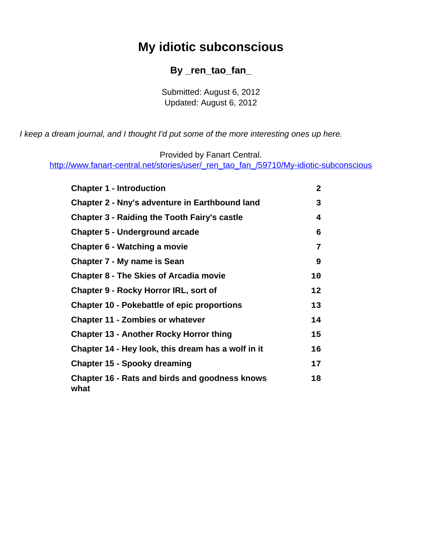# **My idiotic subconscious**

#### **By \_ren\_tao\_fan\_**

Submitted: August 6, 2012 Updated: August 6, 2012

<span id="page-0-0"></span>I keep a dream journal, and I thought I'd put some of the more interesting ones up here.

Provided by Fanart Central.

[http://www.fanart-central.net/stories/user/\\_ren\\_tao\\_fan\\_/59710/My-idiotic-subconscious](#page-0-0)

| <b>Chapter 1 - Introduction</b>                               | 2  |
|---------------------------------------------------------------|----|
| <b>Chapter 2 - Nny's adventure in Earthbound land</b>         | 3  |
| <b>Chapter 3 - Raiding the Tooth Fairy's castle</b>           | 4  |
| <b>Chapter 5 - Underground arcade</b>                         | 6  |
| Chapter 6 - Watching a movie                                  | 7  |
| <b>Chapter 7 - My name is Sean</b>                            | 9  |
| <b>Chapter 8 - The Skies of Arcadia movie</b>                 | 10 |
| <b>Chapter 9 - Rocky Horror IRL, sort of</b>                  | 12 |
| <b>Chapter 10 - Pokebattle of epic proportions</b>            | 13 |
| <b>Chapter 11 - Zombies or whatever</b>                       | 14 |
| <b>Chapter 13 - Another Rocky Horror thing</b>                | 15 |
| Chapter 14 - Hey look, this dream has a wolf in it            | 16 |
| <b>Chapter 15 - Spooky dreaming</b>                           | 17 |
| <b>Chapter 16 - Rats and birds and goodness knows</b><br>what | 18 |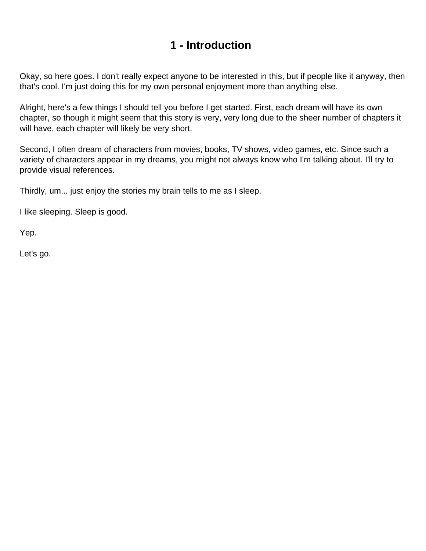### **1 - Introduction**

<span id="page-1-0"></span>Okay, so here goes. I don't really expect anyone to be interested in this, but if people like it anyway, then that's cool. I'm just doing this for my own personal enjoyment more than anything else.

Alright, here's a few things I should tell you before I get started. First, each dream will have its own chapter, so though it might seem that this story is very, very long due to the sheer number of chapters it will have, each chapter will likely be very short.

Second, I often dream of characters from movies, books, TV shows, video games, etc. Since such a variety of characters appear in my dreams, you might not always know who I'm talking about. I'll try to provide visual references.

Thirdly, um... just enjoy the stories my brain tells to me as I sleep.

I like sleeping. Sleep is good.

Yep.

Let's go.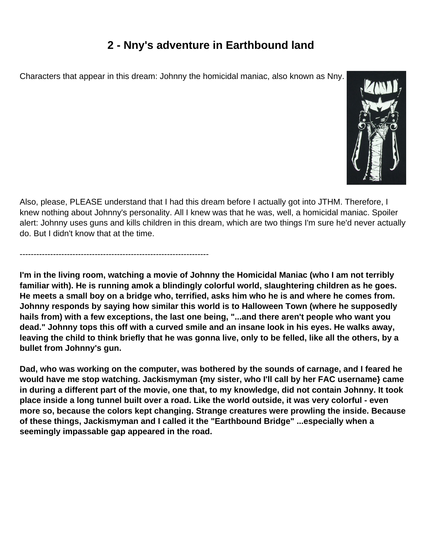## **2 - Nny's adventure in Earthbound land**

<span id="page-2-0"></span>Characters that appear in this dream: Johnny the homicidal maniac, also known as Nny.

--------------------------------------------------------------------



Also, please, PLEASE understand that I had this dream before I actually got into JTHM. Therefore, I knew nothing about Johnny's personality. All I knew was that he was, well, a homicidal maniac. Spoiler alert: Johnny uses guns and kills children in this dream, which are two things I'm sure he'd never actually do. But I didn't know that at the time.

**I'm in the living room, watching a movie of Johnny the Homicidal Maniac (who I am not terribly familiar with). He is running amok a blindingly colorful world, slaughtering children as he goes. He meets a small boy on a bridge who, terrified, asks him who he is and where he comes from. Johnny responds by saying how similar this world is to Halloween Town (where he supposedly hails from) with a few exceptions, the last one being, "...and there aren't people who want you dead." Johnny tops this off with a curved smile and an insane look in his eyes. He walks away, leaving the child to think briefly that he was gonna live, only to be felled, like all the others, by a bullet from Johnny's gun.**

**Dad, who was working on the computer, was bothered by the sounds of carnage, and I feared he would have me stop watching. Jackismyman {my sister, who I'll call by her FAC username} came in during a different part of the movie, one that, to my knowledge, did not contain Johnny. It took place inside a long tunnel built over a road. Like the world outside, it was very colorful - even more so, because the colors kept changing. Strange creatures were prowling the inside. Because of these things, Jackismyman and I called it the "Earthbound Bridge" ...especially when a seemingly impassable gap appeared in the road.**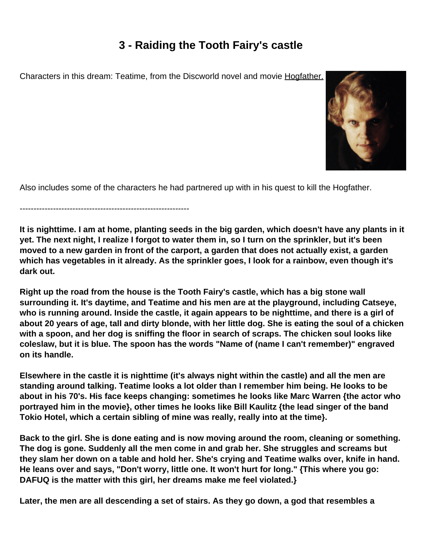## **3 - Raiding the Tooth Fairy's castle**

<span id="page-3-0"></span>Characters in this dream: Teatime, from the Discworld novel and movie Hogfather.



Also includes some of the characters he had partnered up with in his quest to kill the Hogfather.

-------------------------------------------------------------

**It is nighttime. I am at home, planting seeds in the big garden, which doesn't have any plants in it yet. The next night, I realize I forgot to water them in, so I turn on the sprinkler, but it's been moved to a new garden in front of the carport, a garden that does not actually exist, a garden which has vegetables in it already. As the sprinkler goes, I look for a rainbow, even though it's dark out.**

**Right up the road from the house is the Tooth Fairy's castle, which has a big stone wall surrounding it. It's daytime, and Teatime and his men are at the playground, including Catseye, who is running around. Inside the castle, it again appears to be nighttime, and there is a girl of about 20 years of age, tall and dirty blonde, with her little dog. She is eating the soul of a chicken with a spoon, and her dog is sniffing the floor in search of scraps. The chicken soul looks like coleslaw, but it is blue. The spoon has the words "Name of (name I can't remember)" engraved on its handle.**

**Elsewhere in the castle it is nighttime (it's always night within the castle) and all the men are standing around talking. Teatime looks a lot older than I remember him being. He looks to be about in his 70's. His face keeps changing: sometimes he looks like Marc Warren {the actor who portrayed him in the movie}, other times he looks like Bill Kaulitz {the lead singer of the band Tokio Hotel, which a certain sibling of mine was really, really into at the time}.**

**Back to the girl. She is done eating and is now moving around the room, cleaning or something. The dog is gone. Suddenly all the men come in and grab her. She struggles and screams but they slam her down on a table and hold her. She's crying and Teatime walks over, knife in hand. He leans over and says, "Don't worry, little one. It won't hurt for long." {This where you go: DAFUQ is the matter with this girl, her dreams make me feel violated.}**

**Later, the men are all descending a set of stairs. As they go down, a god that resembles a**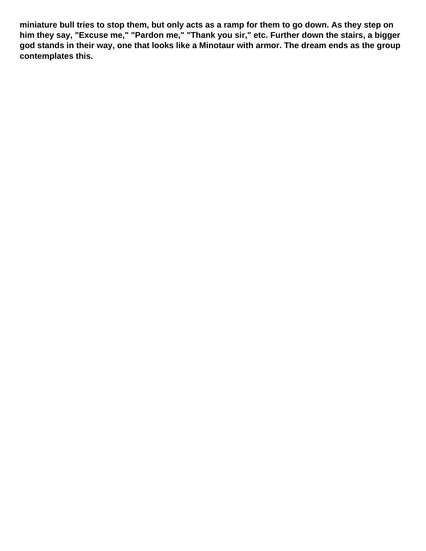**miniature bull tries to stop them, but only acts as a ramp for them to go down. As they step on him they say, "Excuse me," "Pardon me," "Thank you sir," etc. Further down the stairs, a bigger god stands in their way, one that looks like a Minotaur with armor. The dream ends as the group contemplates this.**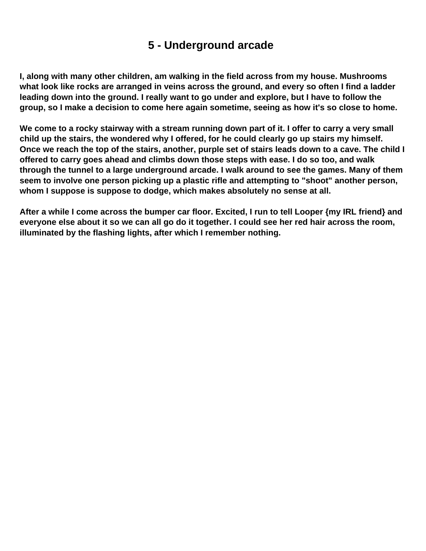#### **5 - Underground arcade**

<span id="page-5-0"></span>**I, along with many other children, am walking in the field across from my house. Mushrooms what look like rocks are arranged in veins across the ground, and every so often I find a ladder leading down into the ground. I really want to go under and explore, but I have to follow the group, so I make a decision to come here again sometime, seeing as how it's so close to home.**

**We come to a rocky stairway with a stream running down part of it. I offer to carry a very small child up the stairs, the wondered why I offered, for he could clearly go up stairs my himself. Once we reach the top of the stairs, another, purple set of stairs leads down to a cave. The child I offered to carry goes ahead and climbs down those steps with ease. I do so too, and walk through the tunnel to a large underground arcade. I walk around to see the games. Many of them seem to involve one person picking up a plastic rifle and attempting to "shoot" another person, whom I suppose is suppose to dodge, which makes absolutely no sense at all.**

**After a while I come across the bumper car floor. Excited, I run to tell Looper {my IRL friend} and everyone else about it so we can all go do it together. I could see her red hair across the room, illuminated by the flashing lights, after which I remember nothing.**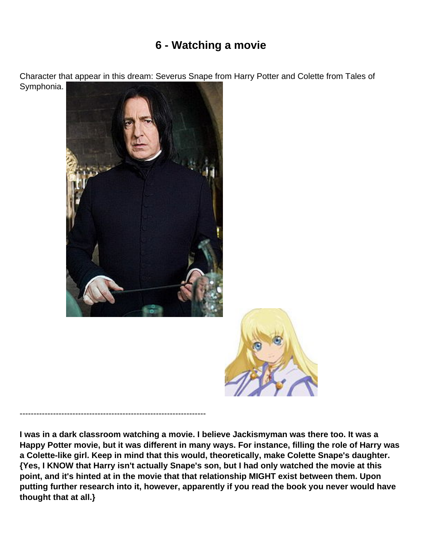## **6 - Watching a movie**

<span id="page-6-0"></span>Character that appear in this dream: Severus Snape from Harry Potter and Colette from Tales of

Symphonia.



-------------------------------------------------------------------

**I was in a dark classroom watching a movie. I believe Jackismyman was there too. It was a Happy Potter movie, but it was different in many ways. For instance, filling the role of Harry was a Colette-like girl. Keep in mind that this would, theoretically, make Colette Snape's daughter. {Yes, I KNOW that Harry isn't actually Snape's son, but I had only watched the movie at this point, and it's hinted at in the movie that that relationship MIGHT exist between them. Upon putting further research into it, however, apparently if you read the book you never would have thought that at all.}**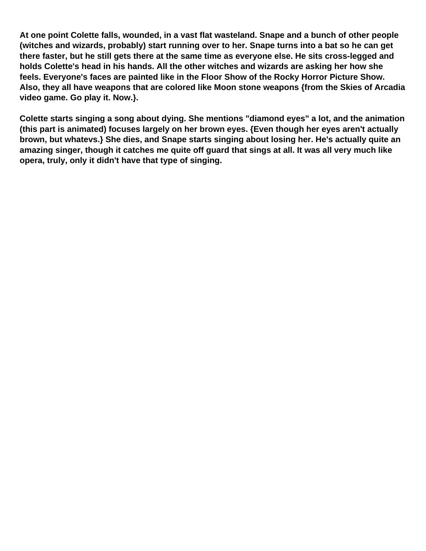**At one point Colette falls, wounded, in a vast flat wasteland. Snape and a bunch of other people (witches and wizards, probably) start running over to her. Snape turns into a bat so he can get there faster, but he still gets there at the same time as everyone else. He sits cross-legged and holds Colette's head in his hands. All the other witches and wizards are asking her how she feels. Everyone's faces are painted like in the Floor Show of the Rocky Horror Picture Show. Also, they all have weapons that are colored like Moon stone weapons {from the Skies of Arcadia video game. Go play it. Now.}.**

**Colette starts singing a song about dying. She mentions "diamond eyes" a lot, and the animation (this part is animated) focuses largely on her brown eyes. {Even though her eyes aren't actually brown, but whatevs.} She dies, and Snape starts singing about losing her. He's actually quite an amazing singer, though it catches me quite off guard that sings at all. It was all very much like opera, truly, only it didn't have that type of singing.**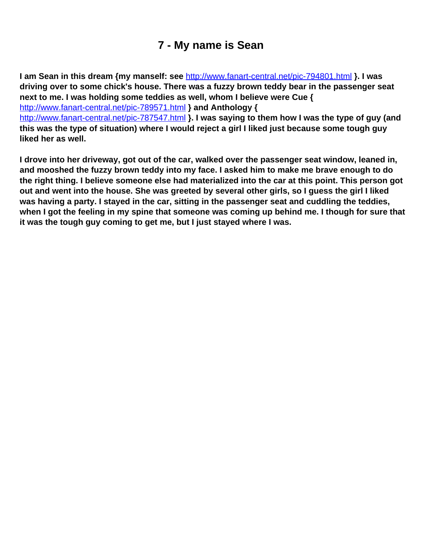## **7 - My name is Sean**

<span id="page-8-0"></span>**I am Sean in this dream {my manself: see** <http://www.fanart-central.net/pic-794801.html> **}. I was driving over to some chick's house. There was a fuzzy brown teddy bear in the passenger seat next to me. I was holding some teddies as well, whom I believe were Cue {**  <http://www.fanart-central.net/pic-789571.html> **} and Anthology {**  <http://www.fanart-central.net/pic-787547.html> **}. I was saying to them how I was the type of guy (and this was the type of situation) where I would reject a girl I liked just because some tough guy liked her as well.**

**I drove into her driveway, got out of the car, walked over the passenger seat window, leaned in, and mooshed the fuzzy brown teddy into my face. I asked him to make me brave enough to do the right thing. I believe someone else had materialized into the car at this point. This person got out and went into the house. She was greeted by several other girls, so I guess the girl I liked was having a party. I stayed in the car, sitting in the passenger seat and cuddling the teddies, when I got the feeling in my spine that someone was coming up behind me. I though for sure that it was the tough guy coming to get me, but I just stayed where I was.**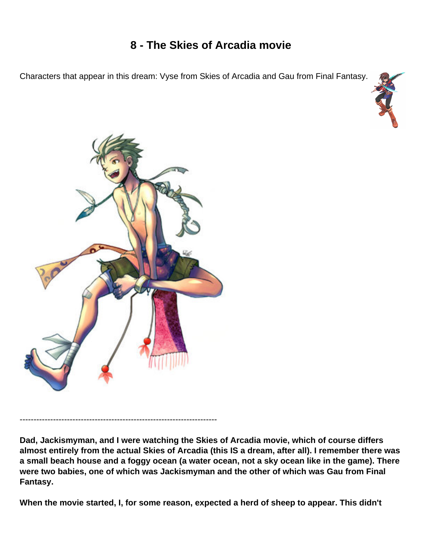## **8 - The Skies of Arcadia movie**

<span id="page-9-0"></span>Characters that appear in this dream: Vyse from Skies of Arcadia and Gau from Final Fantasy.





-----------------------------------------------------------------------

**Dad, Jackismyman, and I were watching the Skies of Arcadia movie, which of course differs almost entirely from the actual Skies of Arcadia (this IS a dream, after all). I remember there was a small beach house and a foggy ocean (a water ocean, not a sky ocean like in the game). There were two babies, one of which was Jackismyman and the other of which was Gau from Final Fantasy.**

**When the movie started, I, for some reason, expected a herd of sheep to appear. This didn't**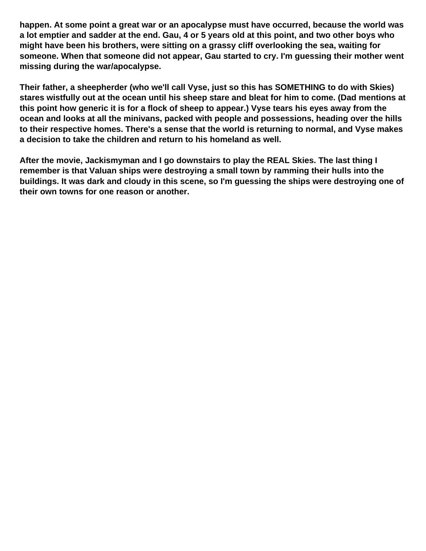**happen. At some point a great war or an apocalypse must have occurred, because the world was a lot emptier and sadder at the end. Gau, 4 or 5 years old at this point, and two other boys who might have been his brothers, were sitting on a grassy cliff overlooking the sea, waiting for someone. When that someone did not appear, Gau started to cry. I'm guessing their mother went missing during the war/apocalypse.**

**Their father, a sheepherder (who we'll call Vyse, just so this has SOMETHING to do with Skies) stares wistfully out at the ocean until his sheep stare and bleat for him to come. (Dad mentions at this point how generic it is for a flock of sheep to appear.) Vyse tears his eyes away from the ocean and looks at all the minivans, packed with people and possessions, heading over the hills to their respective homes. There's a sense that the world is returning to normal, and Vyse makes a decision to take the children and return to his homeland as well.**

**After the movie, Jackismyman and I go downstairs to play the REAL Skies. The last thing I remember is that Valuan ships were destroying a small town by ramming their hulls into the buildings. It was dark and cloudy in this scene, so I'm guessing the ships were destroying one of their own towns for one reason or another.**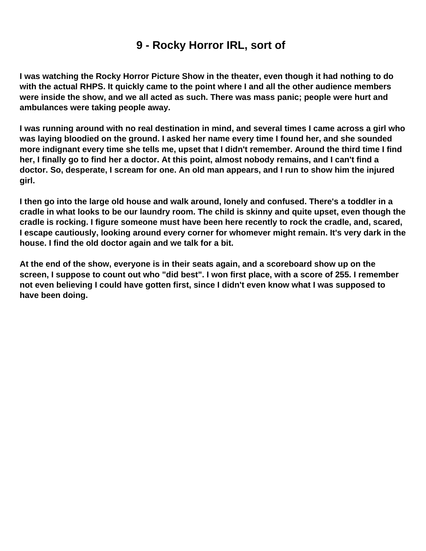#### **9 - Rocky Horror IRL, sort of**

<span id="page-11-0"></span>**I was watching the Rocky Horror Picture Show in the theater, even though it had nothing to do with the actual RHPS. It quickly came to the point where I and all the other audience members were inside the show, and we all acted as such. There was mass panic; people were hurt and ambulances were taking people away.**

**I was running around with no real destination in mind, and several times I came across a girl who was laying bloodied on the ground. I asked her name every time I found her, and she sounded more indignant every time she tells me, upset that I didn't remember. Around the third time I find her, I finally go to find her a doctor. At this point, almost nobody remains, and I can't find a doctor. So, desperate, I scream for one. An old man appears, and I run to show him the injured girl.**

**I then go into the large old house and walk around, lonely and confused. There's a toddler in a cradle in what looks to be our laundry room. The child is skinny and quite upset, even though the cradle is rocking. I figure someone must have been here recently to rock the cradle, and, scared, I escape cautiously, looking around every corner for whomever might remain. It's very dark in the house. I find the old doctor again and we talk for a bit.**

**At the end of the show, everyone is in their seats again, and a scoreboard show up on the screen, I suppose to count out who "did best". I won first place, with a score of 255. I remember not even believing I could have gotten first, since I didn't even know what I was supposed to have been doing.**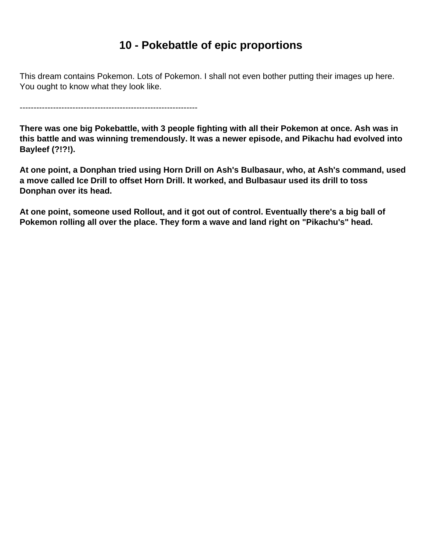#### **10 - Pokebattle of epic proportions**

<span id="page-12-0"></span>This dream contains Pokemon. Lots of Pokemon. I shall not even bother putting their images up here. You ought to know what they look like.

----------------------------------------------------------------

**There was one big Pokebattle, with 3 people fighting with all their Pokemon at once. Ash was in this battle and was winning tremendously. It was a newer episode, and Pikachu had evolved into Bayleef (?!?!).**

**At one point, a Donphan tried using Horn Drill on Ash's Bulbasaur, who, at Ash's command, used a move called Ice Drill to offset Horn Drill. It worked, and Bulbasaur used its drill to toss Donphan over its head.**

**At one point, someone used Rollout, and it got out of control. Eventually there's a big ball of Pokemon rolling all over the place. They form a wave and land right on "Pikachu's" head.**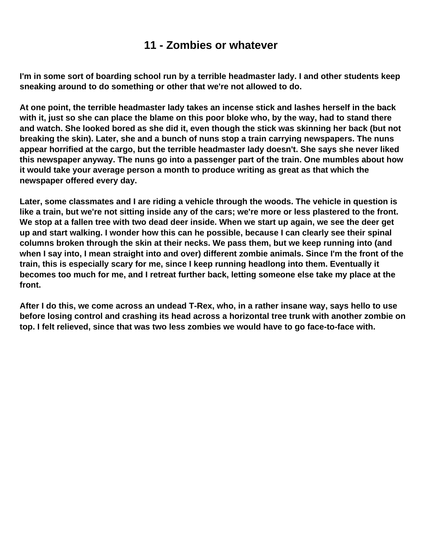#### **11 - Zombies or whatever**

<span id="page-13-0"></span>**I'm in some sort of boarding school run by a terrible headmaster lady. I and other students keep sneaking around to do something or other that we're not allowed to do.**

**At one point, the terrible headmaster lady takes an incense stick and lashes herself in the back with it, just so she can place the blame on this poor bloke who, by the way, had to stand there and watch. She looked bored as she did it, even though the stick was skinning her back (but not breaking the skin). Later, she and a bunch of nuns stop a train carrying newspapers. The nuns appear horrified at the cargo, but the terrible headmaster lady doesn't. She says she never liked this newspaper anyway. The nuns go into a passenger part of the train. One mumbles about how it would take your average person a month to produce writing as great as that which the newspaper offered every day.**

**Later, some classmates and I are riding a vehicle through the woods. The vehicle in question is like a train, but we're not sitting inside any of the cars; we're more or less plastered to the front. We stop at a fallen tree with two dead deer inside. When we start up again, we see the deer get up and start walking. I wonder how this can he possible, because I can clearly see their spinal columns broken through the skin at their necks. We pass them, but we keep running into (and when I say into, I mean straight into and over) different zombie animals. Since I'm the front of the train, this is especially scary for me, since I keep running headlong into them. Eventually it becomes too much for me, and I retreat further back, letting someone else take my place at the front.**

**After I do this, we come across an undead T-Rex, who, in a rather insane way, says hello to use before losing control and crashing its head across a horizontal tree trunk with another zombie on top. I felt relieved, since that was two less zombies we would have to go face-to-face with.**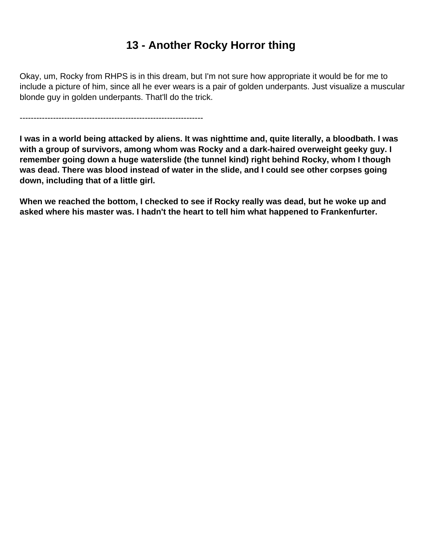## **13 - Another Rocky Horror thing**

<span id="page-14-0"></span>Okay, um, Rocky from RHPS is in this dream, but I'm not sure how appropriate it would be for me to include a picture of him, since all he ever wears is a pair of golden underpants. Just visualize a muscular blonde guy in golden underpants. That'll do the trick.

------------------------------------------------------------------

**I was in a world being attacked by aliens. It was nighttime and, quite literally, a bloodbath. I was with a group of survivors, among whom was Rocky and a dark-haired overweight geeky guy. I remember going down a huge waterslide (the tunnel kind) right behind Rocky, whom I though was dead. There was blood instead of water in the slide, and I could see other corpses going down, including that of a little girl.**

**When we reached the bottom, I checked to see if Rocky really was dead, but he woke up and asked where his master was. I hadn't the heart to tell him what happened to Frankenfurter.**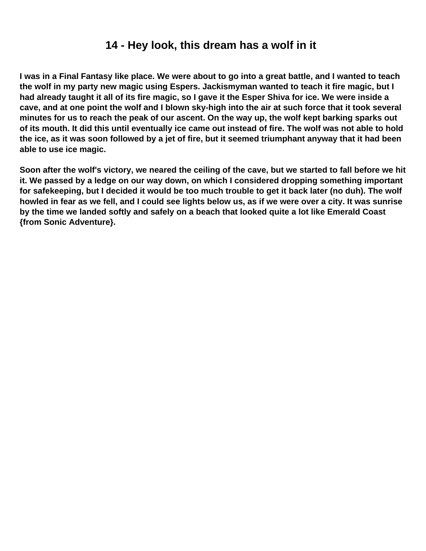#### **14 - Hey look, this dream has a wolf in it**

<span id="page-15-0"></span>**I was in a Final Fantasy like place. We were about to go into a great battle, and I wanted to teach the wolf in my party new magic using Espers. Jackismyman wanted to teach it fire magic, but I had already taught it all of its fire magic, so I gave it the Esper Shiva for ice. We were inside a cave, and at one point the wolf and I blown sky-high into the air at such force that it took several minutes for us to reach the peak of our ascent. On the way up, the wolf kept barking sparks out of its mouth. It did this until eventually ice came out instead of fire. The wolf was not able to hold the ice, as it was soon followed by a jet of fire, but it seemed triumphant anyway that it had been able to use ice magic.**

**Soon after the wolf's victory, we neared the ceiling of the cave, but we started to fall before we hit it. We passed by a ledge on our way down, on which I considered dropping something important for safekeeping, but I decided it would be too much trouble to get it back later (no duh). The wolf howled in fear as we fell, and I could see lights below us, as if we were over a city. It was sunrise by the time we landed softly and safely on a beach that looked quite a lot like Emerald Coast {from Sonic Adventure}.**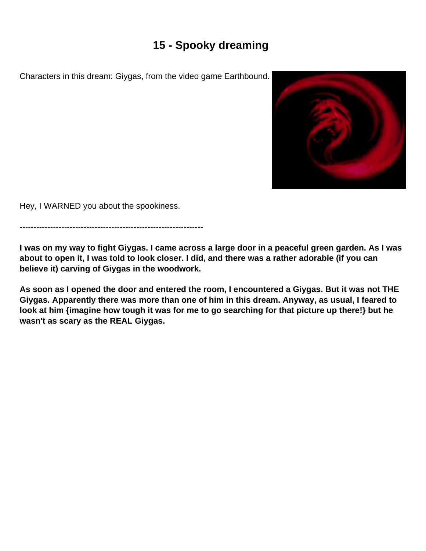## **15 - Spooky dreaming**

<span id="page-16-0"></span>Characters in this dream: Giygas, from the video game Earthbound.



Hey, I WARNED you about the spookiness.

------------------------------------------------------------------

**I was on my way to fight Giygas. I came across a large door in a peaceful green garden. As I was about to open it, I was told to look closer. I did, and there was a rather adorable (if you can believe it) carving of Giygas in the woodwork.**

**As soon as I opened the door and entered the room, I encountered a Giygas. But it was not THE Giygas. Apparently there was more than one of him in this dream. Anyway, as usual, I feared to look at him {imagine how tough it was for me to go searching for that picture up there!} but he wasn't as scary as the REAL Giygas.**